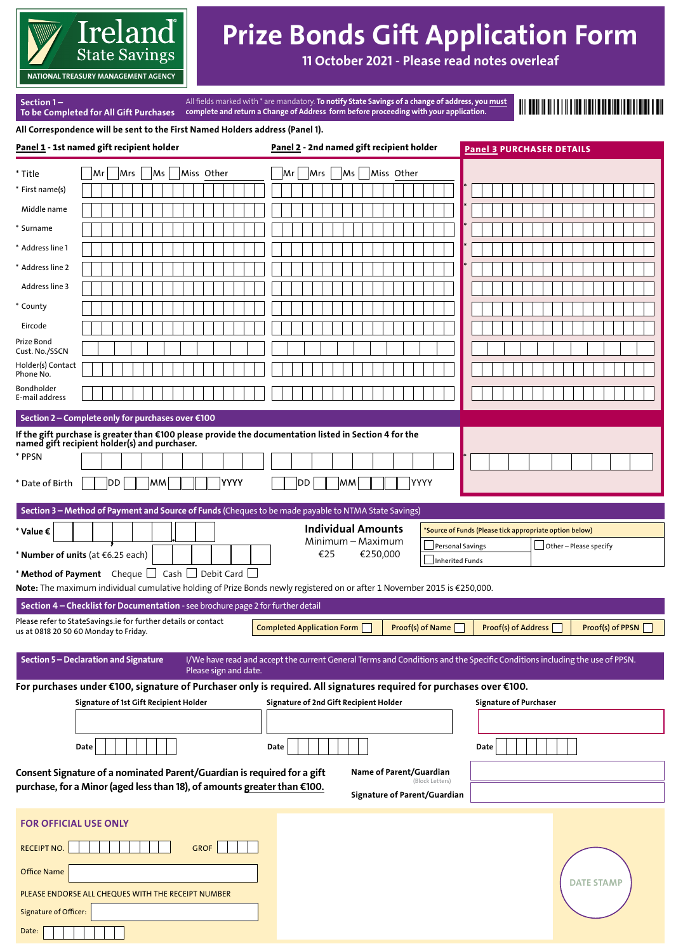

# Prize Bonds Gift Application Form

11 October 2021 - Please read notes overleaf

**NATIONAL TREASURY MANAGEMENT AGENCY**

Section 1 –

To be Completed for All Gift Purchases All fields marked with \* are mandatory. **To notify State Savings of a change of address, you <u>must</u>** complete and return a Change of Address form before proceeding with your application.

All Correspondence will be sent to the First Named Holders address (Panel 1).

|                                                                                                                     | Panel 1 - 1st named gift recipient holder                                                                                                               | Panel 2 - 2nd named gift recipient holder                                                                                 | <b>Panel 3 PURCHASER DETAILS</b>                        |
|---------------------------------------------------------------------------------------------------------------------|---------------------------------------------------------------------------------------------------------------------------------------------------------|---------------------------------------------------------------------------------------------------------------------------|---------------------------------------------------------|
| * Title                                                                                                             | Miss Other<br>Mrs<br>Ms<br> Mr                                                                                                                          | Mrs<br>Miss Other<br>Mr<br>Ms                                                                                             |                                                         |
| * First name(s)                                                                                                     |                                                                                                                                                         |                                                                                                                           |                                                         |
| Middle name                                                                                                         |                                                                                                                                                         |                                                                                                                           |                                                         |
| * Surname                                                                                                           |                                                                                                                                                         |                                                                                                                           |                                                         |
| * Address line 1                                                                                                    |                                                                                                                                                         |                                                                                                                           |                                                         |
| * Address line 2                                                                                                    |                                                                                                                                                         |                                                                                                                           |                                                         |
| Address line 3                                                                                                      |                                                                                                                                                         |                                                                                                                           |                                                         |
| * County                                                                                                            |                                                                                                                                                         |                                                                                                                           |                                                         |
| Eircode                                                                                                             |                                                                                                                                                         |                                                                                                                           |                                                         |
| Prize Bond                                                                                                          |                                                                                                                                                         |                                                                                                                           |                                                         |
| Cust. No./SSCN<br>Holder(s) Contact                                                                                 |                                                                                                                                                         |                                                                                                                           |                                                         |
| Phone No.                                                                                                           |                                                                                                                                                         |                                                                                                                           |                                                         |
| Bondholder<br>E-mail address                                                                                        |                                                                                                                                                         |                                                                                                                           |                                                         |
|                                                                                                                     | Section 2 - Complete only for purchases over €100                                                                                                       |                                                                                                                           |                                                         |
|                                                                                                                     | If the gift purchase is greater than €100 please provide the documentation listed in Section 4 for the<br>named gift recipient holder(s) and purchaser. |                                                                                                                           |                                                         |
| * PPSN                                                                                                              |                                                                                                                                                         |                                                                                                                           |                                                         |
| * Date of Birth                                                                                                     | YYYY<br>DD<br> MM                                                                                                                                       | YYYY<br>DD<br><b>MM</b>                                                                                                   |                                                         |
|                                                                                                                     | Section 3 - Method of Payment and Source of Funds (Cheques to be made payable to NTMA State Savings)                                                    |                                                                                                                           |                                                         |
| * Value €                                                                                                           |                                                                                                                                                         | <b>Individual Amounts</b>                                                                                                 | *Source of Funds (Please tick appropriate option below) |
|                                                                                                                     | * Number of units (at €6.25 each)                                                                                                                       | Minimum - Maximum<br>€25<br>€250,000                                                                                      | Other - Please specify<br>Personal Savings              |
|                                                                                                                     | * Method of Payment Cheque $\Box$ Cash $\Box$ Debit Card $\Box$                                                                                         |                                                                                                                           | <b>Inherited Funds</b>                                  |
|                                                                                                                     |                                                                                                                                                         | Note: The maximum individual cumulative holding of Prize Bonds newly registered on or after 1 November 2015 is €250,000.  |                                                         |
|                                                                                                                     | Section 4 - Checklist for Documentation - see brochure page 2 for further detail                                                                        |                                                                                                                           |                                                         |
|                                                                                                                     | Please refer to StateSavings.ie for further details or contact<br>us at 0818 20 50 60 Monday to Friday.                                                 | <b>Completed Application Form</b><br>Proof(s) of Name                                                                     | Proof(s) of PPSN<br><b>Proof(s) of Address</b>          |
|                                                                                                                     | Section 5 - Declaration and Signature<br>Please sign and date.                                                                                          | I/We have read and accept the current General Terms and Conditions and the Specific Conditions including the use of PPSN. |                                                         |
| For purchases under €100, signature of Purchaser only is required. All signatures required for purchases over €100. |                                                                                                                                                         |                                                                                                                           |                                                         |
|                                                                                                                     | Signature of 1st Gift Recipient Holder                                                                                                                  | Signature of 2nd Gift Recipient Holder                                                                                    | <b>Signature of Purchaser</b>                           |
|                                                                                                                     |                                                                                                                                                         |                                                                                                                           |                                                         |
|                                                                                                                     | Date                                                                                                                                                    | Date                                                                                                                      | Date                                                    |
|                                                                                                                     | Consent Signature of a nominated Parent/Guardian is required for a gift                                                                                 | Name of Parent/Guardian                                                                                                   |                                                         |
|                                                                                                                     | purchase, for a Minor (aged less than 18), of amounts greater than €100.                                                                                | (Block Letters)<br>Signature of Parent/Guardian                                                                           |                                                         |
|                                                                                                                     |                                                                                                                                                         |                                                                                                                           |                                                         |
| <b>FOR OFFICIAL USE ONLY</b>                                                                                        |                                                                                                                                                         |                                                                                                                           |                                                         |
| <b>RECEIPT NO.</b>                                                                                                  | <b>GROF</b>                                                                                                                                             |                                                                                                                           |                                                         |
| <b>Office Name</b>                                                                                                  |                                                                                                                                                         |                                                                                                                           | <b>DATE STAMP</b>                                       |
|                                                                                                                     | PLEASE ENDORSE ALL CHEQUES WITH THE RECEIPT NUMBER                                                                                                      |                                                                                                                           |                                                         |
| Signature of Officer:                                                                                               |                                                                                                                                                         |                                                                                                                           |                                                         |
| Date:                                                                                                               |                                                                                                                                                         |                                                                                                                           |                                                         |